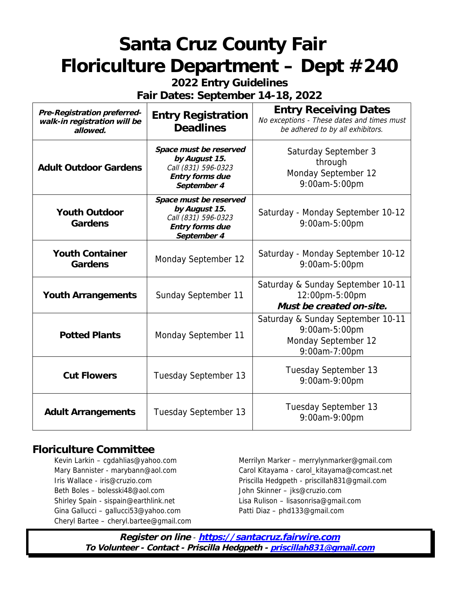**2022 Entry Guidelines**

**Fair Dates: September 14-18, 2022**

| Pre-Registration preferred-<br>walk-in registration will be<br>allowed. | <b>Entry Registration</b><br><b>Deadlines</b>                                                    | <b>Entry Receiving Dates</b><br>No exceptions - These dates and times must<br>be adhered to by all exhibitors. |
|-------------------------------------------------------------------------|--------------------------------------------------------------------------------------------------|----------------------------------------------------------------------------------------------------------------|
| <b>Adult Outdoor Gardens</b>                                            | Space must be reserved<br>by August 15.<br>Call (831) 596-0323<br>Entry forms due<br>September 4 | Saturday September 3<br>through<br>Monday September 12<br>9:00am-5:00pm                                        |
| Youth Outdoor<br>Gardens                                                | Space must be reserved<br>by August 15.<br>Call (831) 596-0323<br>Entry forms due<br>September 4 | Saturday - Monday September 10-12<br>9:00am-5:00pm                                                             |
| <b>Youth Container</b><br>Gardens                                       | Monday September 12                                                                              | Saturday - Monday September 10-12<br>9:00am-5:00pm                                                             |
| Youth Arrangements                                                      | Sunday September 11                                                                              | Saturday & Sunday September 10-11<br>12:00pm-5:00pm<br>Must be created on-site.                                |
| <b>Potted Plants</b>                                                    | Monday September 11                                                                              | Saturday & Sunday September 10-11<br>9:00am-5:00pm<br>Monday September 12<br>9:00am-7:00pm                     |
| <b>Cut Flowers</b>                                                      | Tuesday September 13                                                                             | Tuesday September 13<br>9:00am-9:00pm                                                                          |
| <b>Adult Arrangements</b>                                               | Tuesday September 13                                                                             | Tuesday September 13<br>9:00am-9:00pm                                                                          |

# **Floriculture Committee**

Beth Boles – bolesski48@aol.com John Skinner – jks@cruzio.com Shirley Spain - sispain@earthlink.net Lisa Rulison – lisasonrisa@gmail.com Gina Gallucci – gallucci53@yahoo.com Patti Diaz – phd133@gmail.com Cheryl Bartee – cheryl.bartee@gmail.com

Kevin Larkin – cgdahlias@yahoo.com Merrilyn Marker – merrylynmarker@gmail.com Mary Bannister - marybann@aol.com Carol Kitayama - carol\_kitayama@comcast.net Iris Wallace - iris@cruzio.com **Priscilla Hedgpeth - priscillah831@gmail.com**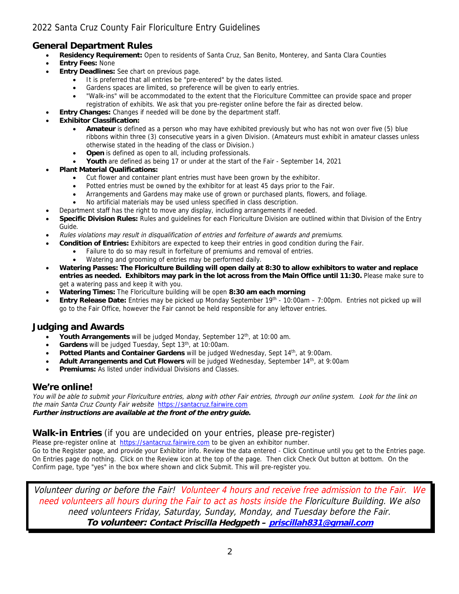# 2022 Santa Cruz County Fair Floriculture Entry Guidelines

# **General Department Rules**

- **Residency Requirement:** Open to residents of Santa Cruz, San Benito, Monterey, and Santa Clara Counties
- **Entry Fees:** None
- **Entry Deadlines:** See chart on previous page.
	- It is preferred that all entries be "pre-entered" by the dates listed.
	- Gardens spaces are limited, so preference will be given to early entries.
	- "Walk-ins" will be accommodated to the extent that the Floriculture Committee can provide space and proper registration of exhibits. We ask that you pre-register online before the fair as directed below.
- **Entry Changes:** Changes if needed will be done by the department staff.
- **Exhibitor Classification:**
	- **Amateur** is defined as a person who may have exhibited previously but who has not won over five (5) blue ribbons within three (3) consecutive years in a given Division. (Amateurs must exhibit in amateur classes unless otherwise stated in the heading of the class or Division.)
	- **Open** is defined as open to all, including professionals.
	- **Youth** are defined as being 17 or under at the start of the Fair September 14, 2021
- **Plant Material Qualifications:**
	- Cut flower and container plant entries must have been grown by the exhibitor.
	- Potted entries must be owned by the exhibitor for at least 45 days prior to the Fair.
	- Arrangements and Gardens may make use of grown or purchased plants, flowers, and foliage.
	- No artificial materials may be used unless specified in class description.
- Department staff has the right to move any display, including arrangements if needed.
- **Specific Division Rules:** Rules and guidelines for each Floriculture Division are outlined within that Division of the Entry Guide.
- Rules violations may result in disqualification of entries and forfeiture of awards and premiums.
	- **Condition of Entries:** Exhibitors are expected to keep their entries in good condition during the Fair.
		- Failure to do so may result in forfeiture of premiums and removal of entries.
		- Watering and grooming of entries may be performed daily.
- **Watering Passes: The Floriculture Building will open daily at 8:30 to allow exhibitors to water and replace entries as needed. Exhibitors may park in the lot across from the Main Office until 11:30.** Please make sure to get a watering pass and keep it with you.
- **Watering Times:** The Floriculture building will be open **8:30 am each morning**
- **Entry Release Date:** Entries may be picked up Monday September 19th 10:00am 7:00pm. Entries not picked up will go to the Fair Office, however the Fair cannot be held responsible for any leftover entries.

## **Judging and Awards**

- Youth Arrangements will be judged Monday, September 12<sup>th</sup>, at 10:00 am.
- **Gardens** will be judged Tuesday, Sept 13th, at 10:00am.
- **Potted Plants and Container Gardens** will be judged Wednesday, Sept 14th, at 9:00am.
- **Adult Arrangements and Cut Flowers** will be judged Wednesday, September 14th, at 9:00am
- **Premiums:** As listed under individual Divisions and Classes.

## **We're online!**

You will be able to submit your Floriculture entries, along with other Fair entries, through our online system. Look for the link on the main Santa Cruz County Fair website [https://santacruz.fairwire.com](https://santacruz.fairwire.com/) **Further instructions are available at the front of the entry guide.**

## **Walk-in Entries** (if you are undecided on your entries, please pre-register)

Please pre-register online at [https://santacruz.fairwire.com](https://santacruz.fairwire.com/) to be given an exhibitor number.

Go to the Register page, and provide your Exhibitor info. Review the data entered - Click Continue until you get to the Entries page. On Entries page do nothing. Click on the Review icon at the top of the page. Then click Check Out button at bottom. On the Confirm page, type "yes" in the box where shown and click Submit. This will pre-register you.

Volunteer during or before the Fair! Volunteer 4 hours and receive free admission to the Fair. We need volunteers all hours during the Fair to act as hosts inside the Floriculture Building. We also need volunteers Friday, Saturday, Sunday, Monday, and Tuesday before the Fair. **To volunteer: Contact Priscilla Hedgpeth – [priscillah831@gmail.com](mailto:pumpkinhedgpeth@aol.com)**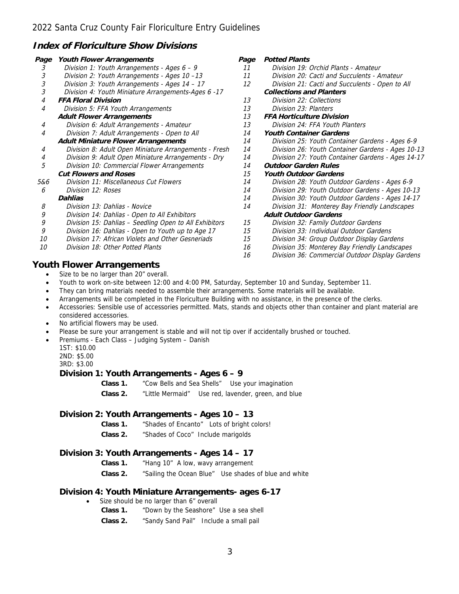## **Index of Floriculture Show Divisions**

| Page | Youth Flower Arrangements                              | Page | <b>Potted Plants</b>                              |
|------|--------------------------------------------------------|------|---------------------------------------------------|
| 3    | Division 1: Youth Arrangements - Ages 6 - 9            | 11   | Division 19: Orchid Plants - Amateur              |
| 3    | Division 2: Youth Arrangements - Ages 10-13            | 11   | Division 20: Cacti and Succulents - Amateur       |
| 3    | Division 3: Youth Arrangements - Ages 14 - 17          | 12   | Division 21: Cacti and Succulents - Open to All   |
| 3    | Division 4: Youth Miniature Arrangements-Ages 6 -17    |      | <b>Collections and Planters</b>                   |
| 4    | <b>FFA Floral Division</b>                             | 13   | Division 22: Collections                          |
| 4    | Division 5: FFA Youth Arrangements                     | 13   | Division 23: Planters                             |
|      | <b>Adult Flower Arrangements</b>                       | 13   | <b>FFA Horticulture Division</b>                  |
| 4    | Division 6: Adult Arrangements - Amateur               | 13   | Division 24: FFA Youth Planters                   |
| 4    | Division 7: Adult Arrangements - Open to All           | 14   | <b>Youth Container Gardens</b>                    |
|      | Adult Miniature Flower Arrangements                    | 14   | Division 25: Youth Container Gardens - Ages 6-9   |
| 4    | Division 8: Adult Open Miniature Arrangements - Fresh  | 14   | Division 26: Youth Container Gardens - Ages 10-13 |
| 4    | Division 9: Adult Open Miniature Arrangements - Dry    | 14   | Division 27: Youth Container Gardens - Ages 14-17 |
| 5    | Division 10: Commercial Flower Arrangements            | 14   | <b>Outdoor Garden Rules</b>                       |
|      | <b>Cut Flowers and Roses</b>                           | 15   | <b>Youth Outdoor Gardens</b>                      |
| 5&6  | Division 11: Miscellaneous Cut Flowers                 | 14   | Division 28: Youth Outdoor Gardens - Ages 6-9     |
| 6    | Division 12: Roses                                     | 14   | Division 29: Youth Outdoor Gardens - Ages 10-13   |
|      | Dahlias                                                | 14   | Division 30: Youth Outdoor Gardens - Ages 14-17   |
| 8    | Division 13: Dahlias - Novice                          | 14   | Division 31: Monterey Bay Friendly Landscapes     |
| 9    | Division 14: Dahlias - Open to All Exhibitors          |      | <b>Adult Outdoor Gardens</b>                      |
| 9    | Division 15: Dahlias - Seedling Open to All Exhibitors | 15   | Division 32: Family Outdoor Gardens               |
| 9    | Division 16: Dahlias - Open to Youth up to Age 17      | 15   | Division 33: Individual Outdoor Gardens           |
| 10   | Division 17: African Violets and Other Gesneriads      | 15   | Division 34: Group Outdoor Display Gardens        |
| 10   | Division 18: Other Potted Plants                       | 16   | Division 35: Monterey Bay Friendly Landscapes     |
|      |                                                        | 16   | Division 36: Commercial Outdoor Display Gardens   |
|      | Youth Flower Arrangements                              |      |                                                   |
|      | Size to be no larger than 20" overall.                 |      |                                                   |

- Youth to work on-site between 12:00 and 4:00 PM, Saturday, September 10 and Sunday, September 11.
- They can bring materials needed to assemble their arrangements. Some materials will be available.
- Arrangements will be completed in the Floriculture Building with no assistance, in the presence of the clerks.
- Accessories: Sensible use of accessories permitted. Mats, stands and objects other than container and plant material are considered accessories.
- No artificial flowers may be used.
- Please be sure your arrangement is stable and will not tip over if accidentally brushed or touched.
- Premiums Each Class Judging System Danish

1ST: \$10.00

2ND: \$5.00

3RD: \$3.00

#### **Division 1: Youth Arrangements - Ages 6 – 9**

**Class 1.** "Cow Bells and Sea Shells" Use your imagination

**Class 2.** "Little Mermaid" Use red, lavender, green, and blue

#### **Division 2: Youth Arrangements - Ages 10 – 13**

- **Class 1.** "Shades of Encanto" Lots of bright colors!
- **Class 2.** "Shades of Coco" Include marigolds

#### **Division 3: Youth Arrangements - Ages 14 – 17**

- **Class 1.** "Hang 10" A low, wavy arrangement
- **Class 2.** "Sailing the Ocean Blue" Use shades of blue and white

#### **Division 4: Youth Miniature Arrangements- ages 6-17**

- Size should be no larger than 6" overall
	- **Class 1.** "Down by the Seashore" Use a sea shell
	- **Class 2.** "Sandy Sand Pail" Include a small pail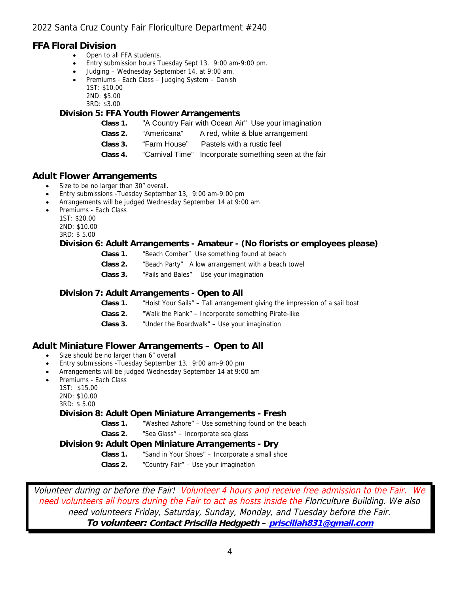## **FFA Floral Division**

- Open to all FFA students.
- Entry submission hours Tuesday Sept 13, 9:00 am-9:00 pm.
- Judging Wednesday September 14, at 9:00 am.
- Premiums Each Class Judging System Danish 1ST: \$10.00 2ND: \$5.00
	- 3RD: \$3.00

## **Division 5: FFA Youth Flower Arrangements**

- **Class 1.** "A Country Fair with Ocean Air" Use your imagination
- **Class 2.** "Americana" A red, white & blue arrangement
- **Class 3.** "Farm House" Pastels with a rustic feel
- **Class 4.** "Carnival Time" Incorporate something seen at the fair

## **Adult Flower Arrangements**

- Size to be no larger than 30" overall.
- Entry submissions -Tuesday September 13, 9:00 am-9:00 pm
- Arrangements will be judged Wednesday September 14 at 9:00 am
- Premiums Each Class
	- 1ST: \$20.00
	- 2ND: \$10.00

3RD: \$ 5.00

## **Division 6: Adult Arrangements - Amateur - (No florists or employees please)**

- **Class 1.** "Beach Comber" Use something found at beach
- **Class 2.** "Beach Party" A low arrangement with a beach towel
- **Class 3.** "Pails and Bales" Use your imagination

## **Division 7: Adult Arrangements - Open to All**

- **Class 1.** "Hoist Your Sails" Tall arrangement giving the impression of a sail boat
- **Class 2.** "Walk the Plank" Incorporate something Pirate-like
- **Class 3.** "Under the Boardwalk" Use your imagination

## **Adult Miniature Flower Arrangements – Open to All**

- Size should be no larger than 6" overall
- Entry submissions -Tuesday September 13, 9:00 am-9:00 pm
- Arrangements will be judged Wednesday September 14 at 9:00 am
- Premiums Each Class
	- 1ST: \$15.00
		- 2ND: \$10.00
		- 3RD: \$ 5.00

## **Division 8: Adult Open Miniature Arrangements - Fresh**

- **Class 1.** "Washed Ashore" Use something found on the beach
- **Class 2.** "Sea Glass" Incorporate sea glass

**Division 9: Adult Open Miniature Arrangements - Dry**

- **Class 1.** "Sand in Your Shoes" Incorporate a small shoe
- **Class 2.** "Country Fair" Use your imagination

Volunteer during or before the Fair! Volunteer 4 hours and receive free admission to the Fair. We need volunteers all hours during the Fair to act as hosts inside the Floriculture Building. We also need volunteers Friday, Saturday, Sunday, Monday, and Tuesday before the Fair. **To volunteer: Contact Priscilla Hedgpeth – [priscillah831@gmail.com](mailto:pumpkinhedgpeth@aol.com)**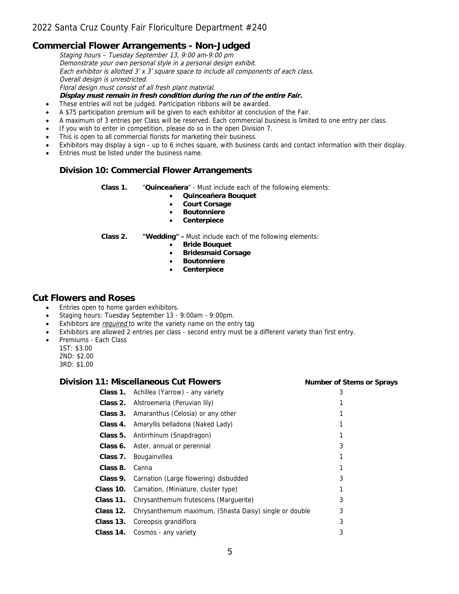## **Commercial Flower Arrangements - Non-Judged**

Staging hours – Tuesday September 13, 9:00 am-9:00 pm Demonstrate your own personal style in a personal design exhibit. Each exhibitor is allotted 3' x 3' square space to include all components of each class. Overall design is unrestricted. Floral design must consist of all fresh plant material. **Display must remain in fresh condition during the run of the entire Fair.** • These entries will not be judged. Participation ribbons will be awarded.

- A \$75 participation premium will be given to each exhibitor at conclusion of the Fair.
- A maximum of 3 entries per Class will be reserved. Each commercial business is limited to one entry per class.
- If you wish to enter in competition, please do so in the open Division 7.
- This is open to all commercial florists for marketing their business.
- Exhibitors may display a sign up to 6 inches square, with business cards and contact information with their display.
- Entries must be listed under the business name.

#### **Division 10: Commercial Flower Arrangements**

**Class 1.** "**Quinceañera**" - Must include each of the following elements:

- **Quinceañera Bouquet**
- **Court Corsage**
- **Boutonniere**
- **Centerpiece**

- **Class 2. "Wedding" -** Must include each of the following elements:
	- **Bride Bouquet**<br>**Bridesmaid Cou**
	- **•** Bridesmaid Corsage<br>• Boutonniere
	- **Boutonniere**
	- **Centerpiece**

## **Cut Flowers and Roses**

- Entries open to home garden exhibitors.
- Staging hours: Tuesday September 13 9:00am 9:00pm.
- Exhibitors are *required* to write the variety name on the entry tag
- Exhibitors are allowed 2 entries per class second entry must be a different variety than first entry.
- Premiums Each Class
	- 1ST: \$3.00
	- 2ND: \$2.00
	- 3RD: \$1.00

#### **Division 11: Miscellaneous Cut Flowers Number of Stems or Sprays**

| Class 1.  | Achillea (Yarrow) - any variety                        | 3 |
|-----------|--------------------------------------------------------|---|
| Class 2.  | Alstroemeria (Peruvian lily)                           |   |
| Class 3.  | Amaranthus (Celosia) or any other                      |   |
| Class 4.  | Amaryllis belladona (Naked Lady)                       |   |
| Class 5.  | Antirrhinum (Snapdragon)                               |   |
| Class 6.  | Aster, annual or perennial                             | 3 |
| Class 7.  | Bougainvillea                                          |   |
| Class 8.  | Canna                                                  |   |
| Class 9.  | Carnation (Large flowering) disbudded                  | 3 |
| Class 10. | Carnation, (Miniature, cluster type)                   |   |
| Class 11. | Chrysanthemum frutescens (Marguerite)                  | 3 |
| Class 12. | Chrysanthemum maximum, (Shasta Daisy) single or double | 3 |
| Class 13. | Coreopsis grandiflora                                  | 3 |
| Class 14. | Cosmos - any variety                                   | 3 |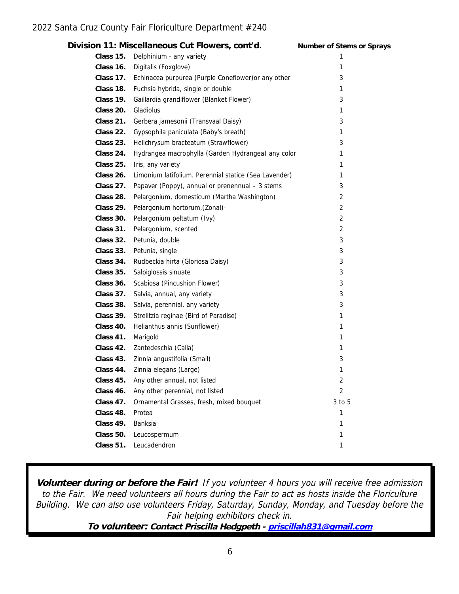|           | Division 11: Miscellaneous Cut Flowers, cont'd.               | Number of Stems or Sprays |
|-----------|---------------------------------------------------------------|---------------------------|
|           | Class 15. Delphinium - any variety                            | 1                         |
|           | Class 16. Digitalis (Foxglove)                                | 1                         |
|           | Class 17. Echinacea purpurea (Purple Coneflower) or any other | 3                         |
|           | Class 18. Fuchsia hybrida, single or double                   | 1                         |
| Class 19. | Gaillardia grandiflower (Blanket Flower)                      | 3                         |
| Class 20. | Gladiolus                                                     | 1                         |
| Class 21. | Gerbera jamesonii (Transvaal Daisy)                           | 3                         |
| Class 22. | Gypsophila paniculata (Baby's breath)                         | 1                         |
| Class 23. | Helichrysum bracteatum (Strawflower)                          | 3                         |
| Class 24. | Hydrangea macrophylla (Garden Hydrangea) any color            | 1                         |
|           | Class 25. Iris, any variety                                   | 1                         |
| Class 26. | Limonium latifolium. Perennial statice (Sea Lavender)         | 1                         |
|           | Class 27. Papaver (Poppy), annual or prenennual - 3 stems     | 3                         |
|           | Class 28. Pelargonium, domesticum (Martha Washington)         | 2                         |
|           | Class 29. Pelargonium hortorum, (Zonal)-                      | $\overline{2}$            |
|           | Class 30. Pelargonium peltatum (Ivy)                          | $\overline{2}$            |
| Class 31. | Pelargonium, scented                                          | $\overline{2}$            |
|           | Class 32. Petunia, double                                     | 3                         |
|           | Class 33. Petunia, single                                     | 3                         |
|           | Class 34. Rudbeckia hirta (Gloriosa Daisy)                    | 3                         |
|           | Class 35. Salpiglossis sinuate                                | 3                         |
| Class 36. | Scabiosa (Pincushion Flower)                                  | 3                         |
| Class 37. | Salvia, annual, any variety                                   | 3                         |
|           | Class 38. Salvia, perennial, any variety                      | 3                         |
| Class 39. | Strelitzia reginae (Bird of Paradise)                         | 1                         |
| Class 40. | Helianthus annis (Sunflower)                                  | 1                         |
| Class 41. | Marigold                                                      | 1                         |
|           | Class 42. Zantedeschia (Calla)                                | 1                         |
|           | Class 43. Zinnia angustifolia (Small)                         | 3                         |
| Class 44. | Zinnia elegans (Large)                                        | 1                         |
| Class 45. | Any other annual, not listed                                  | 2                         |
| Class 46. | Any other perennial, not listed                               | $\overline{2}$            |
| Class 47. | Ornamental Grasses, fresh, mixed bouquet                      | 3 to 5                    |
| Class 48. | Protea                                                        | 1                         |
| Class 49. | Banksia                                                       | 1                         |
| Class 50. | Leucospermum                                                  | 1                         |
| Class 51. | Leucadendron                                                  | 1                         |
|           |                                                               |                           |

**Volunteer during or before the Fair!** If you volunteer 4 hours you will receive free admission to the Fair. We need volunteers all hours during the Fair to act as hosts inside the Floriculture Building. We can also use volunteers Friday, Saturday, Sunday, Monday, and Tuesday before the Fair helping exhibitors check in.

**To volunteer: Contact Priscilla Hedgpeth - [priscillah831@gmail.com](mailto:pumpkinhedgpeth@aol.com)**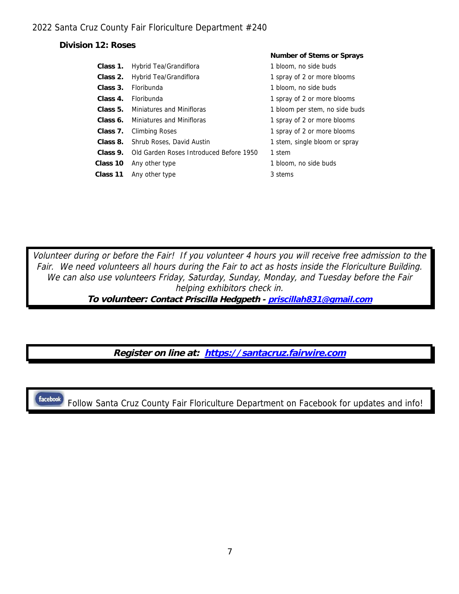**Division 12: Roses**

|          |                                         | <b>NUMBER OF SIGHTS OF SPIRITS</b> |
|----------|-----------------------------------------|------------------------------------|
| Class 1. | Hybrid Tea/Grandiflora                  | 1 bloom, no side buds              |
| Class 2. | Hybrid Tea/Grandiflora                  | 1 spray of 2 or more blooms        |
| Class 3. | Floribunda                              | 1 bloom, no side buds              |
| Class 4. | Floribunda                              | 1 spray of 2 or more blooms        |
| Class 5. | Miniatures and Minifloras               | 1 bloom per stem, no side buds     |
| Class 6. | Miniatures and Minifloras               | 1 spray of 2 or more blooms        |
| Class 7. | Climbing Roses                          | 1 spray of 2 or more blooms        |
| Class 8. | Shrub Roses, David Austin               | 1 stem, single bloom or spray      |
| Class 9. | Old Garden Roses Introduced Before 1950 | 1 stem                             |
| Class 10 | Any other type                          | 1 bloom, no side buds              |
| Class 11 | Any other type                          | 3 stems                            |
|          |                                         |                                    |

**Number of Stems or Sprays**

Volunteer during or before the Fair! If you volunteer 4 hours you will receive free admission to the Fair. We need volunteers all hours during the Fair to act as hosts inside the Floriculture Building. We can also use volunteers Friday, Saturday, Sunday, Monday, and Tuesday before the Fair helping exhibitors check in.

**To volunteer: Contact Priscilla Hedgpeth - [priscillah831@gmail.com](mailto:pumpkinhedgpeth@aol.com)**

**Register on line at: [https://santacruz.fairwire.com](https://santacruz.fairwire.com/)**

facebook.

Follow Santa Cruz County Fair Floriculture Department on Facebook for updates and info!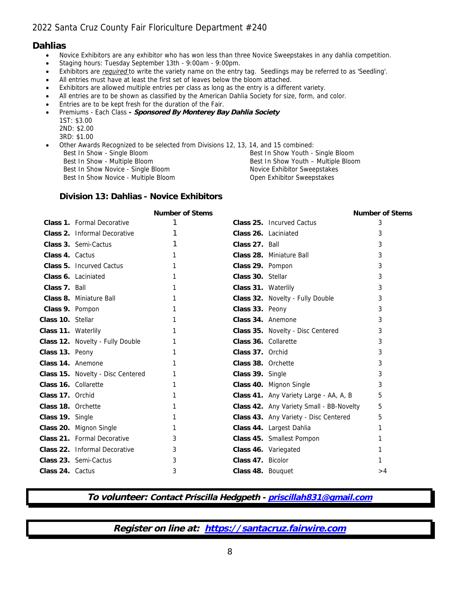## **Dahlias**

- Novice Exhibitors are any exhibitor who has won less than three Novice Sweepstakes in any dahlia competition.
- Staging hours: Tuesday September 13th 9:00am 9:00pm.
- Exhibitors are *required* to write the variety name on the entry tag. Seedlings may be referred to as 'Seedling'.
- All entries must have at least the first set of leaves below the bloom attached.
- Exhibitors are allowed multiple entries per class as long as the entry is a different variety.
- All entries are to be shown as classified by the American Dahlia Society for size, form, and color.
- **Entries are to be kept fresh for the duration of the Fair.**
- Premiums Each Class **- Sponsored By Monterey Bay Dahlia Society** 1ST: \$3.00
	- 2ND: \$2.00
	- 3RD: \$1.00

Other Awards Recognized to be selected from Divisions 12, 13, 14, and 15 combined:

Best In Show Novice - Single Bloom

Best In Show - Single Bloom Best In Show Youth - Single Bloom Best In Show - Multiple Bloom Best In Show Youth – Multiple Bloom Best In Show Youth – Multiple Bloom Best In Show Novice Exhibitor Sweepstakes Best In Show Novice - Multiple Bloom **Open Exhibitor Sweepstakes** 

#### **Division 13: Dahlias - Novice Exhibitors**

|                      |                                   | Number of Stems |                      |                                          | Number of Stems |
|----------------------|-----------------------------------|-----------------|----------------------|------------------------------------------|-----------------|
|                      | Class 1. Formal Decorative        |                 |                      | Class 25. Incurved Cactus                | 3               |
|                      | Class 2. Informal Decorative      |                 |                      | Class 26. Laciniated                     | 3               |
|                      | Class 3. Semi-Cactus              |                 | Class 27. Ball       |                                          | 3               |
| Class 4. Cactus      |                                   |                 |                      | Class 28. Miniature Ball                 | 3               |
|                      | Class 5. Incurved Cactus          |                 | Class 29. Pompon     |                                          | 3               |
|                      | Class 6. Laciniated               |                 | Class 30. Stellar    |                                          | 3               |
| Class 7. Ball        |                                   |                 | Class 31. Waterlily  |                                          | 3               |
|                      | Class 8. Miniature Ball           |                 |                      | Class 32. Novelty - Fully Double         | 3               |
| Class 9. Pompon      |                                   |                 | Class 33. Peony      |                                          | 3               |
| Class 10. Stellar    |                                   |                 | Class 34. Anemone    |                                          | 3               |
| Class 11. Waterlily  |                                   |                 |                      | Class 35. Novelty - Disc Centered        | 3               |
|                      | Class 12. Novelty - Fully Double  |                 | Class 36. Collarette |                                          | 3               |
| Class 13. Peony      |                                   |                 | Class 37. Orchid     |                                          | 3               |
| Class 14. Anemone    |                                   |                 | Class 38. Orchette   |                                          | 3               |
|                      | Class 15. Novelty - Disc Centered |                 | Class 39. Single     |                                          | 3               |
| Class 16. Collarette |                                   |                 |                      | Class 40. Mignon Single                  | 3               |
| Class 17. Orchid     |                                   |                 |                      | Class 41. Any Variety Large - AA, A, B   | 5               |
| Class 18. Orchette   |                                   |                 |                      | Class 42. Any Variety Small - BB-Novelty | 5               |
| Class 19. Single     |                                   |                 |                      | Class 43. Any Variety - Disc Centered    | 5               |
|                      | Class 20. Mignon Single           | 1               |                      | Class 44. Largest Dahlia                 |                 |
|                      | Class 21. Formal Decorative       | 3               |                      | Class 45. Smallest Pompon                |                 |
|                      | Class 22. Informal Decorative     | 3               |                      | Class 46. Variegated                     |                 |
|                      | Class 23. Semi-Cactus             | 3               | Class 47. Bicolor    |                                          |                 |
| Class 24. Cactus     |                                   | 3               | Class 48. Bouguet    |                                          | >4              |

**To volunteer: Contact Priscilla Hedgpeth - [priscillah831@gmail.com](mailto:pumpkinhedgpeth@aol.com)**

**Register on line at: [https://santacruz.fairwire.com](https://santacruz.fairwire.com/)**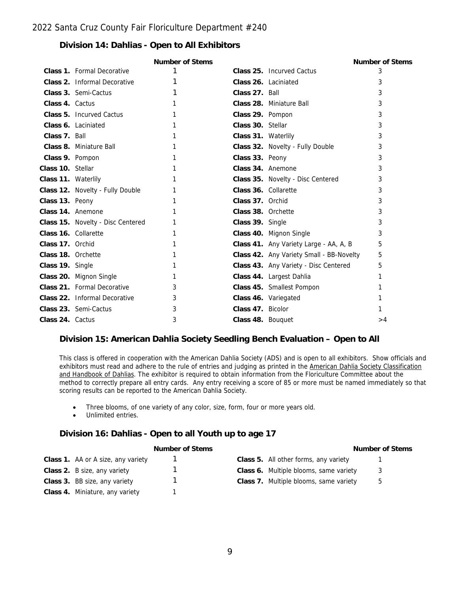## **Division 14: Dahlias - Open to All Exhibitors**

|                      |                                   | Number of Stems |                     |                                          | Number of Stems |
|----------------------|-----------------------------------|-----------------|---------------------|------------------------------------------|-----------------|
|                      | Class 1. Formal Decorative        |                 |                     | Class 25. Incurved Cactus                | 3               |
|                      | Class 2. Informal Decorative      |                 |                     | Class 26. Laciniated                     | 3               |
|                      | Class 3. Semi-Cactus              |                 | Class 27. Ball      |                                          | 3               |
| Class 4. Cactus      |                                   |                 |                     | Class 28. Miniature Ball                 | 3               |
|                      | Class 5. Incurved Cactus          |                 | Class 29. Pompon    |                                          | 3               |
|                      | Class 6. Laciniated               |                 | Class 30. Stellar   |                                          | 3               |
| Class 7. Ball        |                                   |                 | Class 31. Waterlily |                                          | 3               |
|                      | Class 8. Miniature Ball           |                 |                     | Class 32. Novelty - Fully Double         | 3               |
| Class 9. Pompon      |                                   |                 | Class 33. Peony     |                                          | 3               |
| Class 10. Stellar    |                                   |                 | Class 34. Anemone   |                                          | 3               |
| Class 11. Waterlily  |                                   |                 |                     | Class 35. Novelty - Disc Centered        | 3               |
|                      | Class 12. Novelty - Fully Double  |                 |                     | Class 36. Collarette                     | 3               |
| Class 13. Peony      |                                   |                 | Class 37. Orchid    |                                          | 3               |
| Class 14. Anemone    |                                   |                 | Class 38. Orchette  |                                          | 3               |
|                      | Class 15. Novelty - Disc Centered |                 | Class 39. Single    |                                          | 3               |
| Class 16. Collarette |                                   |                 |                     | Class 40. Mignon Single                  | 3               |
| Class 17. Orchid     |                                   |                 |                     | Class 41. Any Variety Large - AA, A, B   | 5               |
| Class 18. Orchette   |                                   |                 |                     | Class 42. Any Variety Small - BB-Novelty | 5               |
| Class 19. Single     |                                   |                 |                     | Class 43. Any Variety - Disc Centered    | 5               |
|                      | Class 20. Mignon Single           | 1               |                     | Class 44. Largest Dahlia                 |                 |
|                      | Class 21. Formal Decorative       | 3               |                     | Class 45. Smallest Pompon                |                 |
|                      | Class 22. Informal Decorative     | 3               |                     | Class 46. Variegated                     |                 |
|                      | Class 23. Semi-Cactus             | 3               | Class 47. Bicolor   |                                          |                 |
| Class 24. Cactus     |                                   | 3               | Class 48. Bouquet   |                                          | >4              |
|                      |                                   |                 |                     |                                          |                 |

## **Division 15: American Dahlia Society Seedling Bench Evaluation – Open to All**

This class is offered in cooperation with the American Dahlia Society (ADS) and is open to all exhibitors. Show officials and exhibitors must read and adhere to the rule of entries and judging as printed in the American Dahlia Society Classification and Handbook of Dahlias. The exhibitor is required to obtain information from the Floriculture Committee about the method to correctly prepare all entry cards. Any entry receiving a score of 85 or more must be named immediately so that scoring results can be reported to the American Dahlia Society.

- Three blooms, of one variety of any color, size, form, four or more years old.
- Unlimited entries.

## **Division 16: Dahlias - Open to all Youth up to age 17**

| Number of Stems                    |  |  |                                       | Number |
|------------------------------------|--|--|---------------------------------------|--------|
| Class 1. AA or A size, any variety |  |  | Class 5. All other forms, any variety |        |

| Class 2. B size, any variety    |   |
|---------------------------------|---|
| Class 3. BB size, any variety   |   |
| Class 4. Miniature, any variety | 1 |

**Number of Stems Number of Stems**

- 1 **Class 6.** Multiple blooms, same variety 3
- 1 **Class 7.** Multiple blooms, same variety 5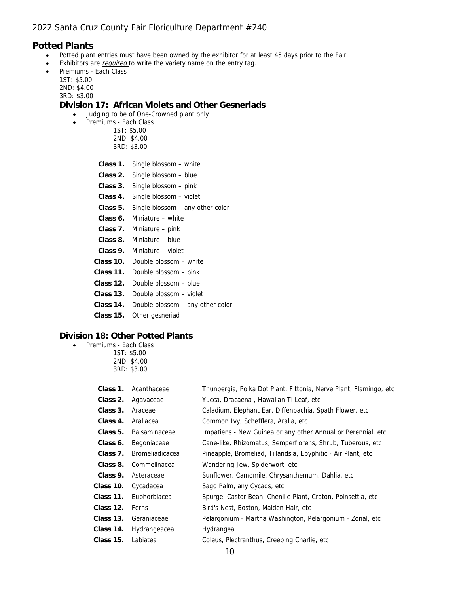## **Potted Plants**

- Potted plant entries must have been owned by the exhibitor for at least 45 days prior to the Fair.
- Exhibitors are required to write the variety name on the entry tag.
- Premiums Each Class
	- 1ST: \$5.00 2ND: \$4.00
	- 3RD: \$3.00

**Division 17: African Violets and Other Gesneriads**

- Judging to be of One-Crowned plant only
- Premiums Each Class
	- 1ST: \$5.00 2ND: \$4.00 3RD: \$3.00
	- **Class 1.** Single blossom white
	- **Class 2.** Single blossom blue
	- **Class 3.** Single blossom pink
	- **Class 4.** Single blossom violet
	- **Class 5.** Single blossom any other color
	- **Class 6.** Miniature white
	- **Class 7.** Miniature pink
	- **Class 8.** Miniature blue
	- **Class 9.** Miniature violet
	- **Class 10.** Double blossom white
	- **Class 11.** Double blossom pink
	- **Class 12.** Double blossom blue
	- **Class 13.** Double blossom violet
	- **Class 14.** Double blossom any other color
	- **Class 15.** Other gesneriad

#### **Division 18: Other Potted Plants**

- Premiums Each Class
	- 1ST: \$5.00 2ND: \$4.00 3RD: \$3.00

| Class 1.  | Acanthaceae            | Thunbergia, Polka Dot Plant, Fittonia, Nerve Plant, Flamingo, etc. |
|-----------|------------------------|--------------------------------------------------------------------|
| Class 2.  | Agavaceae              | Yucca, Dracaena, Hawaiian Ti Leaf, etc                             |
| Class 3.  | Araceae                | Caladium, Elephant Ear, Diffenbachia, Spath Flower, etc.           |
| Class 4.  | Araliacea              | Common Ivy, Schefflera, Aralia, etc.                               |
| Class 5.  | <b>Balsaminaceae</b>   | Impatiens - New Guinea or any other Annual or Perennial, etc.      |
| Class 6.  | Begoniaceae            | Cane-like, Rhizomatus, Semperflorens, Shrub, Tuberous, etc.        |
| Class 7.  | <b>Bromeliadicacea</b> | Pineapple, Bromeliad, Tillandsia, Epyphitic - Air Plant, etc.      |
| Class 8.  | Commelinacea           | Wandering Jew, Spiderwort, etc.                                    |
| Class 9.  | Asteraceae             | Sunflower, Camomile, Chrysanthemum, Dahlia, etc.                   |
| Class 10. | Cycadacea              | Sago Palm, any Cycads, etc.                                        |
| Class 11. | Euphorbiacea           | Spurge, Castor Bean, Chenille Plant, Croton, Poinsettia, etc.      |
| Class 12. | <b>Ferns</b>           | Bird's Nest, Boston, Maiden Hair, etc.                             |
| Class 13. | Geraniaceae            | Pelargonium - Martha Washington, Pelargonium - Zonal, etc          |
| Class 14. | Hydrangeacea           | Hydrangea                                                          |
| Class 15. | Labiatea               | Coleus, Plectranthus, Creeping Charlie, etc.                       |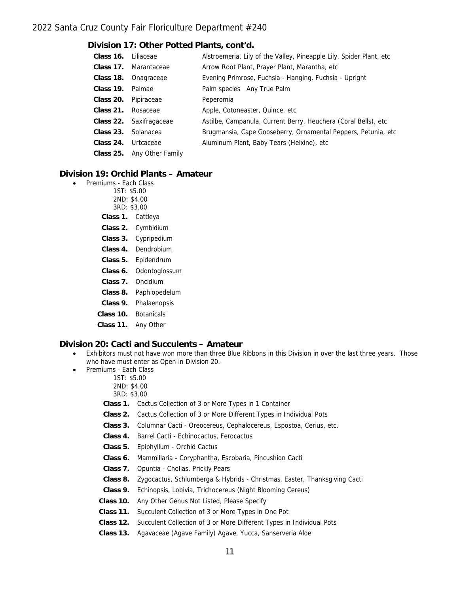#### **Division 17: Other Potted Plants, cont'd.**

| Class 16. | Liliaceae                  | Alstroemeria, Lily of the Valley, Pineapple Lily, Spider Plant, etc. |
|-----------|----------------------------|----------------------------------------------------------------------|
|           | Class 17. Marantaceae      | Arrow Root Plant, Prayer Plant, Marantha, etc                        |
| Class 18. | Onagraceae                 | Evening Primrose, Fuchsia - Hanging, Fuchsia - Upright               |
| Class 19. | Palmae                     | Palm species Any True Palm                                           |
| Class 20. | Pipiraceae                 | Peperomia                                                            |
| Class 21. | Rosaceae                   | Apple, Cotoneaster, Quince, etc.                                     |
|           | Class 22. Saxifragaceae    | Astilbe, Campanula, Current Berry, Heuchera (Coral Bells), etc.      |
| Class 23. | Solanacea                  | Brugmansia, Cape Gooseberry, Ornamental Peppers, Petunia, etc        |
| Class 24. | Urtcaceae                  | Aluminum Plant, Baby Tears (Helxine), etc.                           |
|           | Class 25. Any Other Family |                                                                      |
|           |                            |                                                                      |

## **Division 19: Orchid Plants – Amateur**

- Premiums Each Class
	- 1ST: \$5.00
		- 2ND: \$4.00
		- 3RD: \$3.00
	- **Class 1.** Cattleya
	- **Class 2.** Cymbidium
	- **Class 3.** Cypripedium
	- **Class 4.** Dendrobium
	- **Class 5.** Epidendrum
	- **Class 6.** Odontoglossum
	- **Class 7.** Oncidium
	- **Class 8.** Paphiopedelum
	- **Class 9.** Phalaenopsis
	- **Class 10.** Botanicals
	- **Class 11.** Any Other

#### **Division 20: Cacti and Succulents – Amateur**

- Exhibitors must not have won more than three Blue Ribbons in this Division in over the last three years. Those who have must enter as Open in Division 20.
	- Premiums Each Class
		- 1ST: \$5.00
			- 2ND: \$4.00
			- 3RD: \$3.00
		- **Class 1.** Cactus Collection of 3 or More Types in 1 Container
		- **Class 2.** Cactus Collection of 3 or More Different Types in Individual Pots
		- **Class 3.** Columnar Cacti Oreocereus, Cephalocereus, Espostoa, Cerius, etc.
		- **Class 4.** Barrel Cacti Echinocactus, Ferocactus
		- **Class 5.** Epiphyllum Orchid Cactus
		- **Class 6.** Mammillaria Coryphantha, Escobaria, Pincushion Cacti
		- **Class 7.** Opuntia Chollas, Prickly Pears
		- **Class 8.** Zygocactus, Schlumberga & Hybrids Christmas, Easter, Thanksgiving Cacti
		- **Class 9.** Echinopsis, Lobivia, Trichocereus (Night Blooming Cereus)
		- **Class 10.** Any Other Genus Not Listed, Please Specify
		- **Class 11.** Succulent Collection of 3 or More Types in One Pot
		- **Class 12.** Succulent Collection of 3 or More Different Types in Individual Pots
		- **Class 13.** Agavaceae (Agave Family) Agave, Yucca, Sanserveria Aloe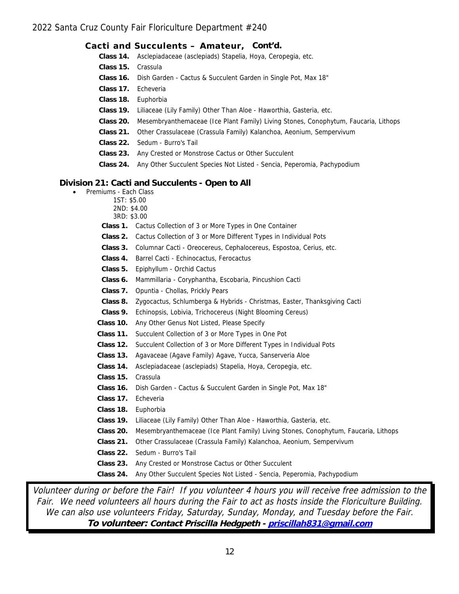|                                                                    | Cacti and Succulents - Amateur, Cont'd.                                             |  |
|--------------------------------------------------------------------|-------------------------------------------------------------------------------------|--|
| Class 14.                                                          | Asclepiadaceae (asclepiads) Stapelia, Hoya, Ceropegia, etc.                         |  |
| Class 15.                                                          | Crassula                                                                            |  |
|                                                                    | Class 16. Dish Garden - Cactus & Succulent Garden in Single Pot, Max 18"            |  |
| Class 17.                                                          | Echeveria                                                                           |  |
| Class 18.                                                          | Euphorbia                                                                           |  |
| Class 19.                                                          | Liliaceae (Lily Family) Other Than Aloe - Haworthia, Gasteria, etc.                 |  |
| Class 20.                                                          | Mesembryanthemaceae (Ice Plant Family) Living Stones, Conophytum, Faucaria, Lithops |  |
| Class 21.                                                          | Other Crassulaceae (Crassula Family) Kalanchoa, Aeonium, Sempervivum                |  |
| Class 22.                                                          | Sedum - Burro's Tail                                                                |  |
| Class 23.                                                          | Any Crested or Monstrose Cactus or Other Succulent                                  |  |
| Class 24.                                                          | Any Other Succulent Species Not Listed - Sencia, Peperomia, Pachypodium             |  |
| on 21: Cacti and Succulents - Open to All<br>Premiums - Each Class |                                                                                     |  |

#### **Division 21: Cacti and Succulents - Open to All**

- Premiums
	- 1ST: \$5.00
	- 2ND: \$4.00 3RD: \$3.00
	-
	- **Class 1.** Cactus Collection of 3 or More Types in One Container
	- **Class 2.** Cactus Collection of 3 or More Different Types in Individual Pots
	- **Class 3.** Columnar Cacti Oreocereus, Cephalocereus, Espostoa, Cerius, etc.
	- **Class 4.** Barrel Cacti Echinocactus, Ferocactus
	- **Class 5.** Epiphyllum Orchid Cactus
	- **Class 6.** Mammillaria Coryphantha, Escobaria, Pincushion Cacti
	- **Class 7.** Opuntia Chollas, Prickly Pears
	- **Class 8.** Zygocactus, Schlumberga & Hybrids Christmas, Easter, Thanksgiving Cacti
	- **Class 9.** Echinopsis, Lobivia, Trichocereus (Night Blooming Cereus)
	- **Class 10.** Any Other Genus Not Listed, Please Specify
	- **Class 11.** Succulent Collection of 3 or More Types in One Pot
	- **Class 12.** Succulent Collection of 3 or More Different Types in Individual Pots
	- **Class 13.** Agavaceae (Agave Family) Agave, Yucca, Sanserveria Aloe
	- **Class 14.** Asclepiadaceae (asclepiads) Stapelia, Hoya, Ceropegia, etc.
	- **Class 15.** Crassula
	- **Class 16.** Dish Garden Cactus & Succulent Garden in Single Pot, Max 18"
	- **Class 17.** Echeveria
	- **Class 18.** Euphorbia
	- **Class 19.** Liliaceae (Lily Family) Other Than Aloe Haworthia, Gasteria, etc.
	- **Class 20.** Mesembryanthemaceae (Ice Plant Family) Living Stones, Conophytum, Faucaria, Lithops
	- **Class 21.** Other Crassulaceae (Crassula Family) Kalanchoa, Aeonium, Sempervivum
	- **Class 22.** Sedum Burro's Tail
	- **Class 23.** Any Crested or Monstrose Cactus or Other Succulent
	- **Class 24.** Any Other Succulent Species Not Listed Sencia, Peperomia, Pachypodium

Volunteer during or before the Fair! If you volunteer 4 hours you will receive free admission to the Fair. We need volunteers all hours during the Fair to act as hosts inside the Floriculture Building. We can also use volunteers Friday, Saturday, Sunday, Monday, and Tuesday before the Fair. **To volunteer: Contact Priscilla Hedgpeth - [priscillah831@gmail.com](mailto:pumpkinhedgpeth@aol.com)**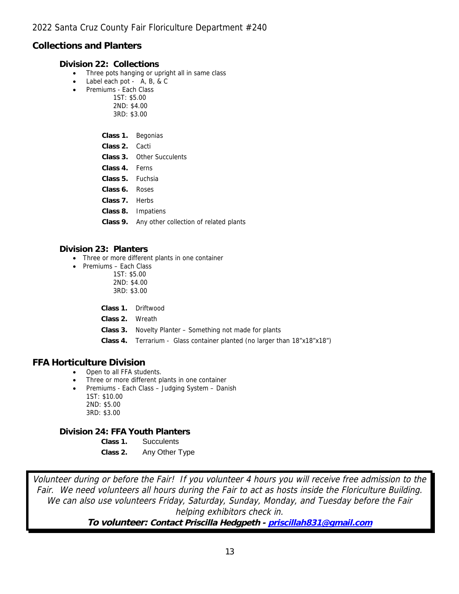## **Collections and Planters**

**Division 22: Collections**

- Three pots hanging or upright all in same class
- Label each pot A, B, & C
- Premiums Each Class
	- 1ST: \$5.00
		- 2ND: \$4.00 3RD: \$3.00
		- **Class 1.** Begonias
		- **Class 2.** Cacti
		- **Class 3.** Other Succulents
		- **Class 4.** Ferns
		- **Class 5.** Fuchsia
		- **Class 6.** Roses
		- **Class 7.** Herbs
		- **Class 8.** Impatiens
		- **Class 9.** Any other collection of related plants

## **Division 23: Planters**

- Three or more different plants in one container
- Premiums Each Class
	- 1ST: \$5.00
	- 2ND: \$4.00 3RD: \$3.00
	-
	- **Class 1.** Driftwood
	- **Class 2.** Wreath
	- **Class 3.** Novelty Planter Something not made for plants
	- Class 4. Terrarium Glass container planted (no larger than 18"x18"x18")

## **FFA Horticulture Division**

- Open to all FFA students.
- Three or more different plants in one container
- Premiums Each Class Judging System Danish 1ST: \$10.00 2ND: \$5.00
	- 3RD: \$3.00

**Division 24: FFA Youth Planters**

- **Class 1.** Succulents
- **Class 2.** Any Other Type

Volunteer during or before the Fair! If you volunteer 4 hours you will receive free admission to the Fair. We need volunteers all hours during the Fair to act as hosts inside the Floriculture Building. We can also use volunteers Friday, Saturday, Sunday, Monday, and Tuesday before the Fair helping exhibitors check in.

**To volunteer: Contact Priscilla Hedgpeth - [priscillah831@gmail.com](mailto:pumpkinhedgpeth@aol.com)**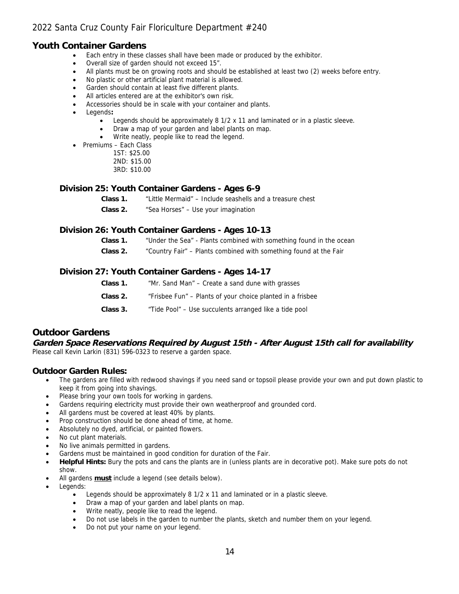## **Youth Container Gardens**

- Each entry in these classes shall have been made or produced by the exhibitor.
- Overall size of garden should not exceed 15".
- All plants must be on growing roots and should be established at least two (2) weeks before entry.
- No plastic or other artificial plant material is allowed.
- Garden should contain at least five different plants.
- All articles entered are at the exhibitor's own risk.
- Accessories should be in scale with your container and plants.
- Legends**:**
	- Legends should be approximately 8 1/2 x 11 and laminated or in a plastic sleeve.
	- Draw a map of your garden and label plants on map.
	- Write neatly, people like to read the legend.
- Premiums Each Class

1ST: \$25.00 2ND: \$15.00 3RD: \$10.00

#### **Division 25: Youth Container Gardens - Ages 6-9**

**Class 1.** "Little Mermaid" – Include seashells and a treasure chest

**Class 2.** "Sea Horses" – Use your imagination

#### **Division 26: Youth Container Gardens - Ages 10-13**

- **Class 1.** "Under the Sea" Plants combined with something found in the ocean
- **Class 2.** "Country Fair" Plants combined with something found at the Fair

#### **Division 27: Youth Container Gardens - Ages 14-17**

| Class 1. | "Mr. Sand Man" – Create a sand dune with grasses |  |
|----------|--------------------------------------------------|--|
|----------|--------------------------------------------------|--|

- **Class 2.** "Frisbee Fun" Plants of your choice planted in a frisbee
- **Class 3.** "Tide Pool" Use succulents arranged like a tide pool

## **Outdoor Gardens**

**Garden Space Reservations Required by August 15th - After August 15th call for availability** Please call Kevin Larkin (831) 596-0323 to reserve a garden space.

#### **Outdoor Garden Rules:**

- The gardens are filled with redwood shavings if you need sand or topsoil please provide your own and put down plastic to keep it from going into shavings.
- Please bring your own tools for working in gardens.
- Gardens requiring electricity must provide their own weatherproof and grounded cord.
- All gardens must be covered at least 40% by plants.
- Prop construction should be done ahead of time, at home.
- Absolutely no dyed, artificial, or painted flowers.
- No cut plant materials.
- No live animals permitted in gardens.
- Gardens must be maintained in good condition for duration of the Fair.
- **Helpful Hints:** Bury the pots and cans the plants are in (unless plants are in decorative pot). Make sure pots do not show.
- All gardens **must** include a legend (see details below).
- Legends:
	- Legends should be approximately 8 1/2 x 11 and laminated or in a plastic sleeve.
	- Draw a map of your garden and label plants on map.
	- Write neatly, people like to read the legend.
	- Do not use labels in the garden to number the plants, sketch and number them on your legend.
	- Do not put your name on your legend.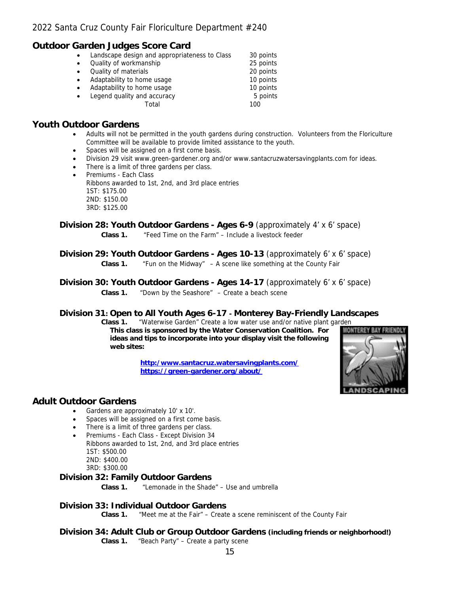## **Outdoor Garden Judges Score Card**

|           | Landscape design and appropriateness to Class | 30 points |
|-----------|-----------------------------------------------|-----------|
|           | Quality of workmanship                        | 25 points |
|           | Quality of materials                          | 20 points |
| $\bullet$ | Adaptability to home usage                    | 10 points |
|           | Adaptability to home usage                    | 10 points |
|           | Legend quality and accuracy                   | 5 points  |
|           | Total                                         | 100       |

## **Youth Outdoor Gardens**

- Adults will not be permitted in the youth gardens during construction. Volunteers from the Floriculture Committee will be available to provide limited assistance to the youth.
- Spaces will be assigned on a first come basis.
- Division 29 visit www.green-gardener.org and/or www.santacruzwatersavingplants.com for ideas.
- There is a limit of three gardens per class.
- Premiums Each Class Ribbons awarded to 1st, 2nd, and 3rd place entries 1ST: \$175.00 2ND: \$150.00 3RD: \$125.00

#### **Division 28: Youth Outdoor Gardens - Ages 6-9** (approximately 4' x 6' space) **Class 1.** "Feed Time on the Farm" – Include a livestock feeder

## **Division 29: Youth Outdoor Gardens - Ages 10-13** (approximately 6' x 6' space) **Class 1.** "Fun on the Midway" – A scene like something at the County Fair

**Division 30: Youth Outdoor Gardens - Ages 14-17** (approximately 6' x 6' space) **Class 1.** "Down by the Seashore" – Create a beach scene

## **Division 31: Open to All Youth Ages 6-17 - Monterey Bay-Friendly Landscapes**

**Class 1.** "Waterwise Garden" Create a low water use and/or native plant garden **This class is sponsored by the Water Conservation Coalition. For ideas and tips to incorporate into your display visit the following web sites:**

> **[http:/www.santacruz.watersavingplants.com/](http://www.santacruz.watersavingplants.com/) <https://green-gardener.org/about/>**



## **Adult Outdoor Gardens**

- Gardens are approximately 10' x 10'.
- Spaces will be assigned on a first come basis.
- There is a limit of three gardens per class.
- Premiums Each Class Except Division 34
- Ribbons awarded to 1st, 2nd, and 3rd place entries 1ST: \$500.00 2ND: \$400.00
	- 3RD: \$300.00

**Division 32: Family Outdoor Gardens**

**Class 1.** "Lemonade in the Shade" – Use and umbrella

#### **Division 33: Individual Outdoor Gardens**

**Class 1.** "Meet me at the Fair" – Create a scene reminiscent of the County Fair

**Division 34: Adult Club or Group Outdoor Gardens (including friends or neighborhood!) Class 1.** "Beach Party" – Create a party scene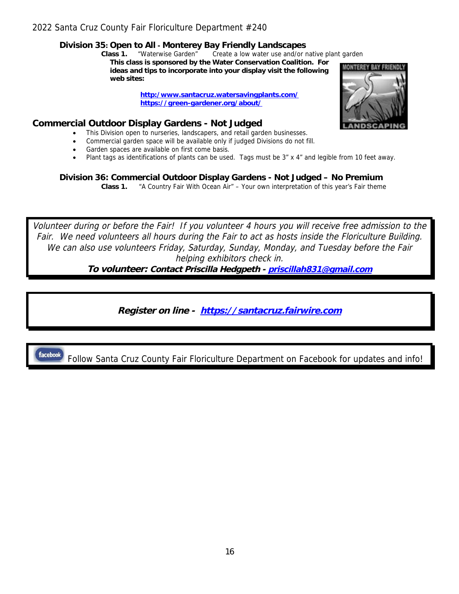**Division 35: Open to All - Monterey Bay Friendly Landscapes**

**Class 1.** "Waterwise Garden" Create a low water use and/or native plant garden

**This class is sponsored by the Water Conservation Coalition. For ideas and tips to incorporate into your display visit the following web sites:**

> **[http:/www.santacruz.watersavingplants.com/](http://www.santacruz.watersavingplants.com/) <https://green-gardener.org/about/>**

**Commercial Outdoor Display Gardens - Not Judged**

- This Division open to nurseries, landscapers, and retail garden businesses.
- Commercial garden space will be available only if judged Divisions do not fill.
- Garden spaces are available on first come basis.
- Plant tags as identifications of plants can be used. Tags must be 3" x 4" and legible from 10 feet away.

**Division 36: Commercial Outdoor Display Gardens - Not Judged – No Premium Class 1.** "A Country Fair With Ocean Air" – Your own interpretation of this year's Fair theme

Volunteer during or before the Fair! If you volunteer 4 hours you will receive free admission to the Fair. We need volunteers all hours during the Fair to act as hosts inside the Floriculture Building. We can also use volunteers Friday, Saturday, Sunday, Monday, and Tuesday before the Fair helping exhibitors check in.

**To volunteer: Contact Priscilla Hedgpeth - [priscillah831@gmail.com](mailto:pumpkinhedgpeth@aol.com)**

**Register on line - [https://santacruz.fairwire.com](https://santacruz.fairwire.com/)**

**facebook** Follow Santa Cruz County Fair Floriculture Department on Facebook for updates and info!

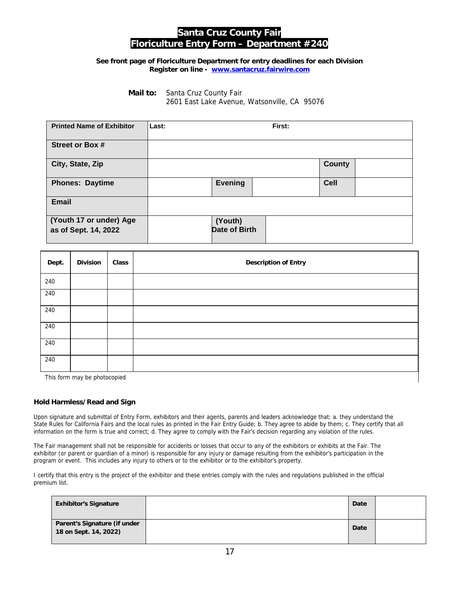# **Santa Cruz County Fair Floriculture Entry Form – Department #240**

**See front page of Floriculture Department for entry deadlines for each Division Register on line - [www.santacruz.fairwire.com](file:///C:\Users\Kel01\Desktop\www.santacruz.fairwire.com)**

> **Mail to:** Santa Cruz County Fair 2601 East Lake Avenue, Watsonville, CA 95076

| <b>Printed Name of Exhibitor</b>                | Last: |                                 | First: |               |  |
|-------------------------------------------------|-------|---------------------------------|--------|---------------|--|
| <b>Street or Box #</b>                          |       |                                 |        |               |  |
| City, State, Zip                                |       |                                 |        | <b>County</b> |  |
| <b>Phones: Daytime</b>                          |       | <b>Evening</b>                  |        | <b>Cell</b>   |  |
| <b>Email</b>                                    |       |                                 |        |               |  |
| (Youth 17 or under) Age<br>as of Sept. 14, 2022 |       | (Youth)<br><b>Date of Birth</b> |        |               |  |

| Dept.                        | Division | Class | Description of Entry |
|------------------------------|----------|-------|----------------------|
| 240                          |          |       |                      |
| 240                          |          |       |                      |
| 240                          |          |       |                      |
| 240                          |          |       |                      |
| 240                          |          |       |                      |
| 240                          |          |       |                      |
| This form may be photocopied |          |       |                      |

#### **Hold Harmless/Read and Sign**

Upon signature and submittal of Entry Form, exhibitors and their agents, parents and leaders acknowledge that: a. they understand the State Rules for California Fairs and the local rules as printed in the Fair Entry Guide; b. They agree to abide by them; c. They certify that all information on the form is true and correct; d. They agree to comply with the Fair's decision regarding any violation of the rules.

The Fair management shall not be responsible for accidents or losses that occur to any of the exhibitors or exhibits at the Fair. The exhibitor (or parent or guardian of a minor) is responsible for any injury or damage resulting from the exhibitor's participation in the program or event. This includes any injury to others or to the exhibitor or to the exhibitor's property.

I certify that this entry is the project of the exhibitor and these entries comply with the rules and regulations published in the official premium list.

| <b>Exhibitor's Signature</b>                          | Date |  |
|-------------------------------------------------------|------|--|
| Parent's Signature (if under<br>18 on Sept. 14, 2022) | Date |  |